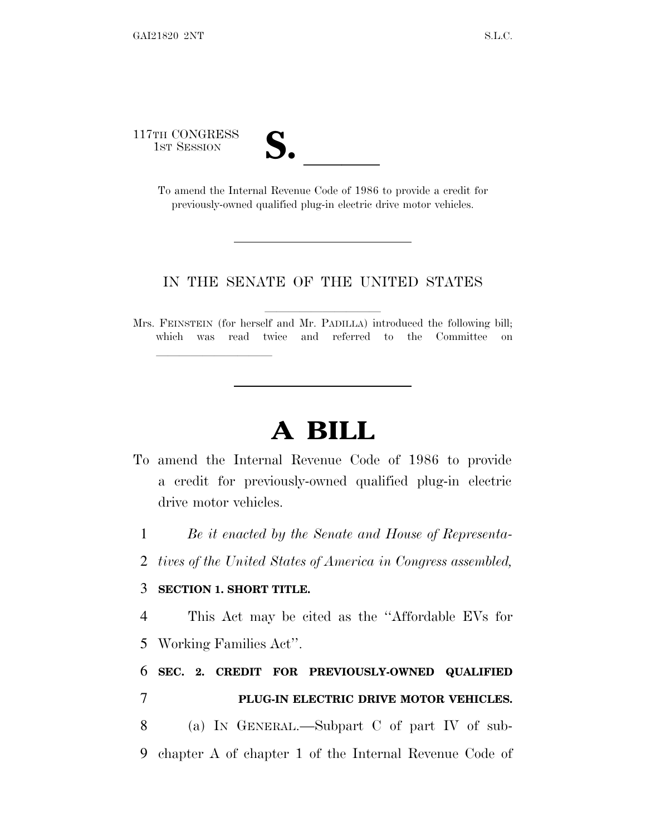117TH CONGRESS



TH CONGRESS<br>
1ST SESSION<br>
To amend the Internal Revenue Code of 1986 to provide a credit for previously-owned qualified plug-in electric drive motor vehicles.

#### IN THE SENATE OF THE UNITED STATES

Mrs. FEINSTEIN (for herself and Mr. PADILLA) introduced the following bill; which was read twice and referred to the Committee on

# **A BILL**

- To amend the Internal Revenue Code of 1986 to provide a credit for previously-owned qualified plug-in electric drive motor vehicles.
	- 1 *Be it enacted by the Senate and House of Representa-*
	- 2 *tives of the United States of America in Congress assembled,*

#### 3 **SECTION 1. SHORT TITLE.**

lla se al consegue de la consegue de la consegue de la consegue de la consegue de la consegue de la consegue d<br>La consegue de la consegue de la consegue de la consegue de la consegue de la consegue de la consegue de la co

4 This Act may be cited as the ''Affordable EVs for 5 Working Families Act''.

## 6 **SEC. 2. CREDIT FOR PREVIOUSLY-OWNED QUALIFIED** 7 **PLUG-IN ELECTRIC DRIVE MOTOR VEHICLES.**

8 (a) I<sup>N</sup> GENERAL.—Subpart C of part IV of sub-9 chapter A of chapter 1 of the Internal Revenue Code of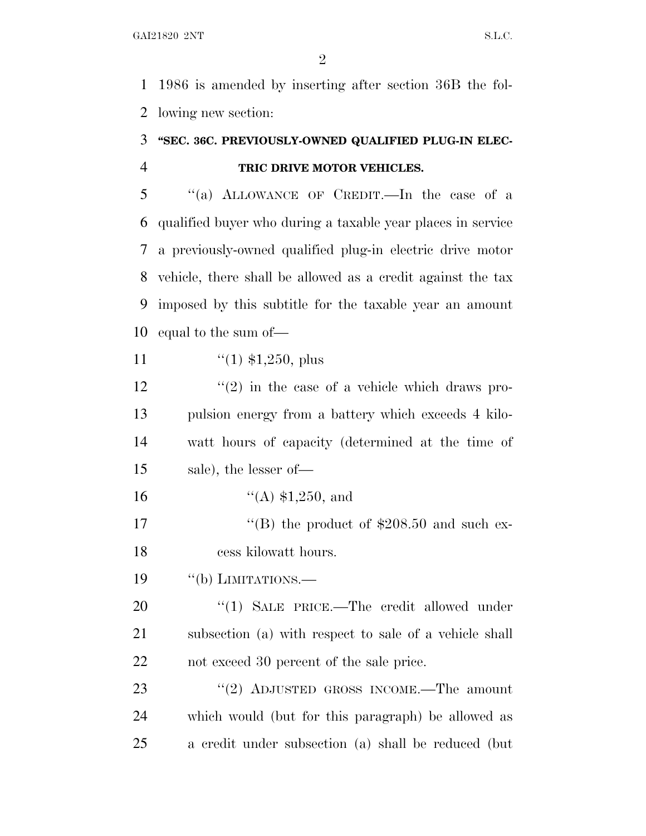1986 is amended by inserting after section 36B the fol-lowing new section:

### **''SEC. 36C. PREVIOUSLY-OWNED QUALIFIED PLUG-IN ELEC-TRIC DRIVE MOTOR VEHICLES.**

 ''(a) ALLOWANCE OF CREDIT.—In the case of a qualified buyer who during a taxable year places in service a previously-owned qualified plug-in electric drive motor vehicle, there shall be allowed as a credit against the tax imposed by this subtitle for the taxable year an amount equal to the sum of—

11  $\frac{1}{(1)}$  \$1,250, plus

 $\frac{12}{2}$  ''(2) in the case of a vehicle which draws pro- pulsion energy from a battery which exceeds 4 kilo- watt hours of capacity (determined at the time of sale), the lesser of—

''(A) \$1,250, and

17  $\text{``(B)}$  the product of \$208.50 and such ex-cess kilowatt hours.

19 "(b) LIMITATIONS.

20 "(1) SALE PRICE.—The credit allowed under subsection (a) with respect to sale of a vehicle shall not exceed 30 percent of the sale price.

23 "(2) ADJUSTED GROSS INCOME.—The amount which would (but for this paragraph) be allowed as a credit under subsection (a) shall be reduced (but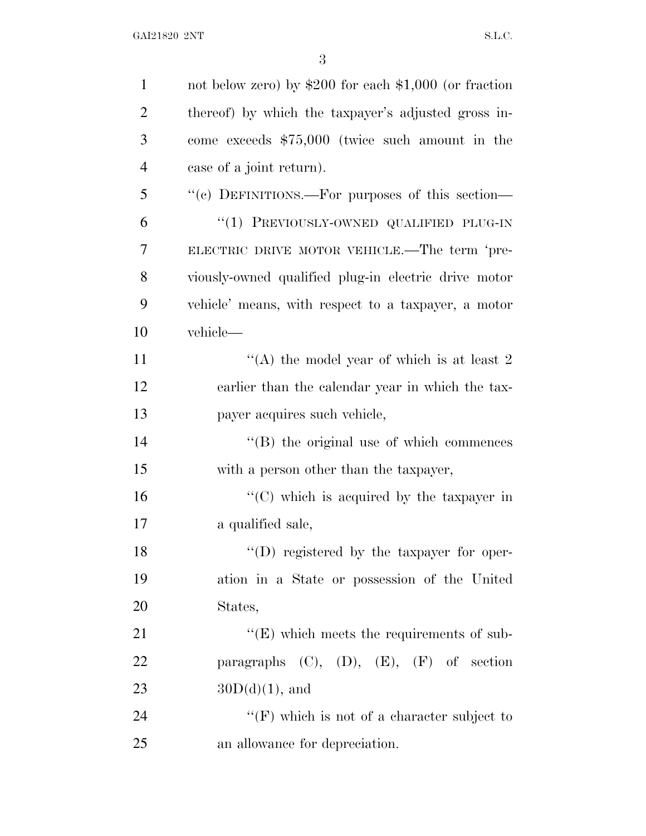| $\mathbf{1}$   | not below zero) by $$200$ for each $$1,000$ (or fraction |
|----------------|----------------------------------------------------------|
| $\overline{2}$ | thereof) by which the taxpayer's adjusted gross in-      |
| 3              | come exceeds $$75,000$ (twice such amount in the         |
| $\overline{4}$ | case of a joint return).                                 |
| 5              | "(c) DEFINITIONS.—For purposes of this section—          |
| 6              | "(1) PREVIOUSLY-OWNED QUALIFIED PLUG-IN                  |
| 7              | ELECTRIC DRIVE MOTOR VEHICLE.—The term 'pre-             |
| 8              | viously-owned qualified plug-in electric drive motor     |
| 9              | vehicle' means, with respect to a taxpayer, a motor      |
| 10             | vehicle-                                                 |
| 11             | "(A) the model year of which is at least $2 \pi$         |
| 12             | earlier than the calendar year in which the tax-         |
| 13             | payer acquires such vehicle,                             |
| 14             | $\lq\lq$ (B) the original use of which commences         |
| 15             | with a person other than the taxpayer,                   |
| 16             | " $(C)$ which is acquired by the taxpayer in             |
| 17             | a qualified sale,                                        |
| 18             | $\lq(1)$ registered by the taxpayer for oper-            |
| 19             | ation in a State or possession of the United             |
| 20             | States,                                                  |
| 21             | $\lq\lq(E)$ which meets the requirements of sub-         |
| 22             | paragraphs $(C)$ , $(D)$ , $(E)$ , $(F)$ of section      |
| 23             | $30D(d)(1)$ , and                                        |
| 24             | "(F) which is not of a character subject to              |
| 25             | an allowance for depreciation.                           |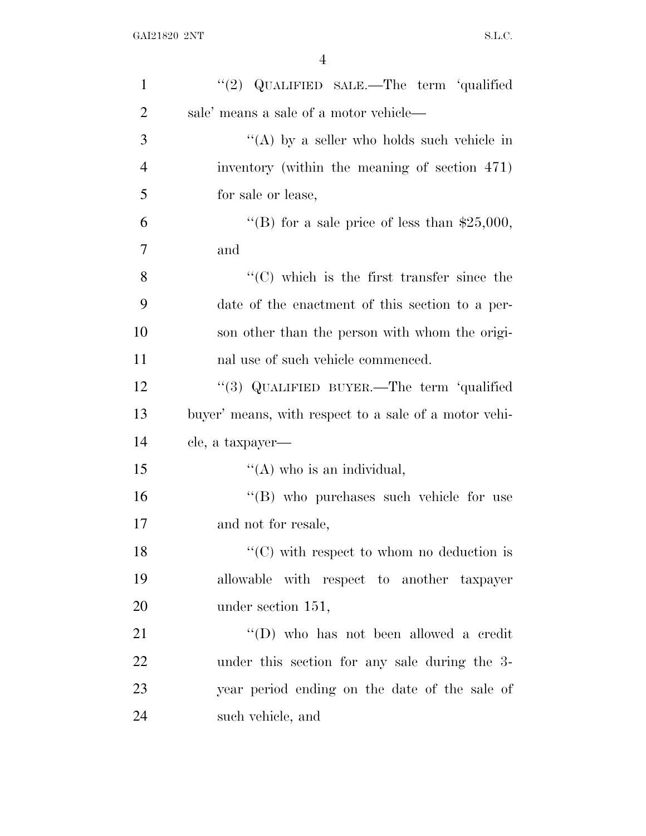| $\mathbf{1}$   | "(2) QUALIFIED SALE.—The term 'qualified              |
|----------------|-------------------------------------------------------|
| $\overline{2}$ | sale' means a sale of a motor vehicle—                |
| 3              | "(A) by a seller who holds such vehicle in            |
| $\overline{4}$ | inventory (within the meaning of section 471)         |
| 5              | for sale or lease,                                    |
| 6              | "(B) for a sale price of less than $$25,000$ ,        |
| 7              | and                                                   |
| 8              | $\lq\lq$ (C) which is the first transfer since the    |
| 9              | date of the enactment of this section to a per-       |
| 10             | son other than the person with whom the origi-        |
| 11             | nal use of such vehicle commenced.                    |
| 12             | "(3) QUALIFIED BUYER.—The term 'qualified             |
| 13             | buyer' means, with respect to a sale of a motor vehi- |
| 14             | cle, a taxpayer—                                      |
| 15             | $\lq\lq$ (A) who is an individual,                    |
| 16             | "(B) who purchases such vehicle for use               |
| 17             | and not for resale,                                   |
| 18             | $\lq\lq$ (C) with respect to whom no deduction is     |
| 19             | allowable with respect to another taxpayer            |
| 20             | under section 151,                                    |
| 21             | "(D) who has not been allowed a credit                |
|                |                                                       |
| 22             | under this section for any sale during the 3-         |
| 23             | year period ending on the date of the sale of         |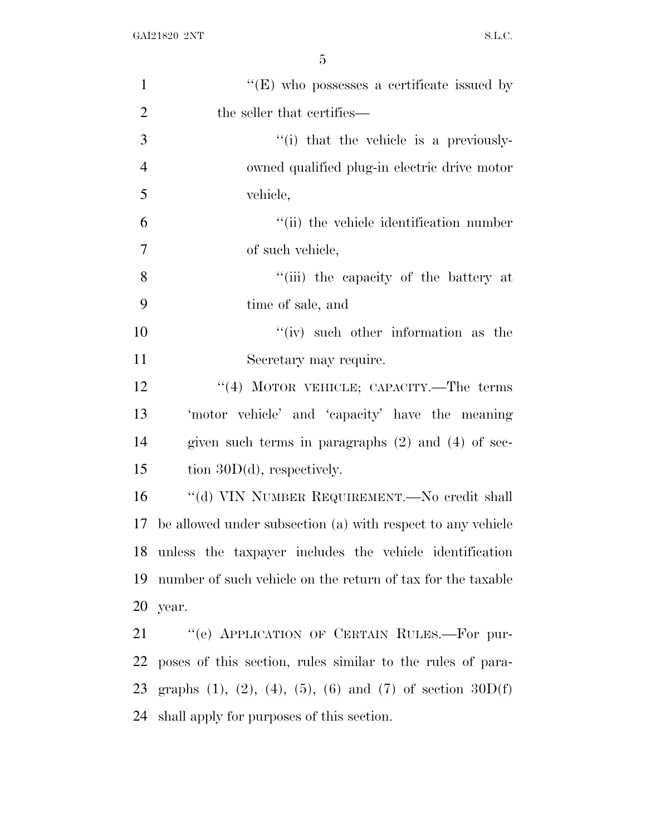| $\mathbf{1}$   | $\lq\lq(E)$ who possesses a certificate issued by                             |
|----------------|-------------------------------------------------------------------------------|
| $\overline{2}$ | the seller that certifies—                                                    |
| 3              | "(i) that the vehicle is a previously-                                        |
| $\overline{4}$ | owned qualified plug-in electric drive motor                                  |
| 5              | vehicle,                                                                      |
| 6              | "(ii) the vehicle identification number                                       |
| $\tau$         | of such vehicle,                                                              |
| 8              | "(iii) the capacity of the battery at                                         |
| 9              | time of sale, and                                                             |
| 10             | $f'(iv)$ such other information as the                                        |
| 11             | Secretary may require.                                                        |
| 12             | "(4) MOTOR VEHICLE; CAPACITY.—The terms                                       |
| 13             | 'motor vehicle' and 'capacity' have the meaning                               |
| 14             | given such terms in paragraphs $(2)$ and $(4)$ of sec-                        |
| 15             | tion $30D(d)$ , respectively.                                                 |
| 16             | "(d) VIN NUMBER REQUIREMENT.—No credit shall                                  |
| 17             | be allowed under subsection (a) with respect to any vehicle                   |
|                | 18 unless the taxpayer includes the vehicle identification                    |
| 19             | number of such vehicle on the return of tax for the taxable                   |
|                | 20 year.                                                                      |
| 21             | "(e) APPLICATION OF CERTAIN RULES.—For pur-                                   |
|                | 22 poses of this section, rules similar to the rules of para-                 |
|                | 23 graphs $(1)$ , $(2)$ , $(4)$ , $(5)$ , $(6)$ and $(7)$ of section $30D(f)$ |
| 24             | shall apply for purposes of this section.                                     |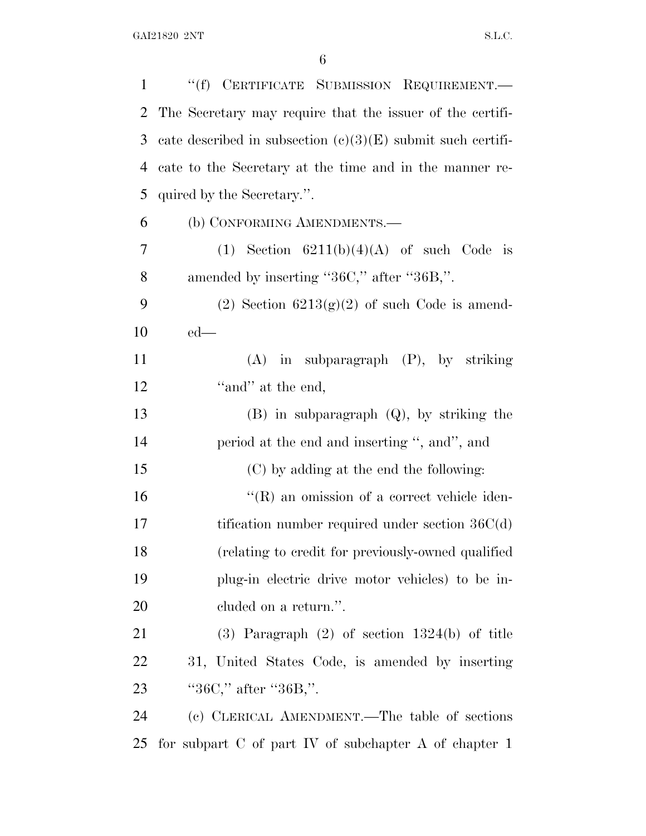| $\mathbf{1}$ | "(f) CERTIFICATE SUBMISSION REQUIREMENT.-                     |
|--------------|---------------------------------------------------------------|
| 2            | The Secretary may require that the issuer of the certifi-     |
| 3            | cate described in subsection $(c)(3)(E)$ submit such certifi- |
| 4            | cate to the Secretary at the time and in the manner re-       |
| 5            | quired by the Secretary.".                                    |
| 6            | (b) CONFORMING AMENDMENTS.—                                   |
| 7            | (1) Section $6211(b)(4)(A)$ of such Code is                   |
| 8            | amended by inserting "36C," after "36B,".                     |
| 9            | (2) Section $6213(g)(2)$ of such Code is amend-               |
| $10\,$       | $ed$ —                                                        |
| 11           | $(A)$ in subparagraph $(P)$ , by striking                     |
| 12           | "and" at the end,                                             |
| 13           | $(B)$ in subparagraph $(Q)$ , by striking the                 |
| 14           | period at the end and inserting ", and", and                  |
| 15           | (C) by adding at the end the following:                       |
| 16           | $\lq\lq$ (R) an omission of a correct vehicle iden-           |
| 17           | tification number required under section $36C(d)$             |
| 18           | (relating to credit for previously-owned qualified)           |
| 19           | plug-in electric drive motor vehicles) to be in-              |
| 20           | cluded on a return.".                                         |
| 21           | $(3)$ Paragraph $(2)$ of section 1324(b) of title             |
| 22           | 31, United States Code, is amended by inserting               |
| 23           | " $36C$ ," after " $36B$ ,".                                  |
| 24           | (c) CLERICAL AMENDMENT.—The table of sections                 |
| 25           | for subpart $C$ of part $IV$ of subchapter $A$ of chapter $1$ |